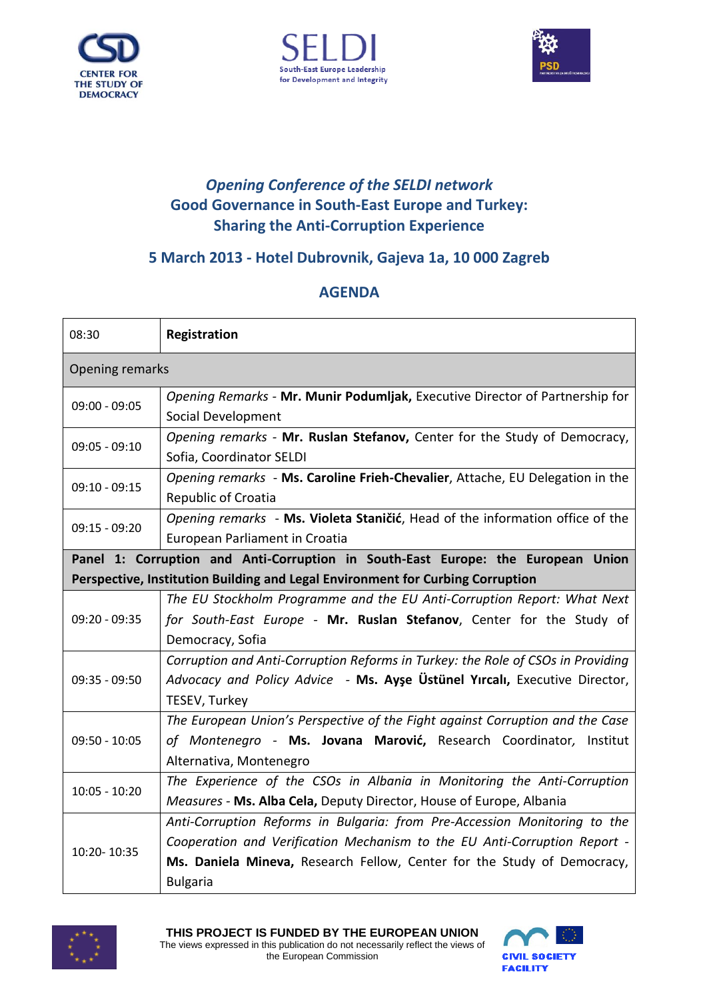





## *Opening Conference of the SELDI network* **Good Governance in South-East Europe and Turkey: Sharing the Anti-Corruption Experience**

## **5 March 2013 - Hotel Dubrovnik, Gajeva 1a, 10 000 Zagreb**

## **AGENDA**

| 08:30                                                                            | Registration                                                                                                                                                                                                                                         |
|----------------------------------------------------------------------------------|------------------------------------------------------------------------------------------------------------------------------------------------------------------------------------------------------------------------------------------------------|
| <b>Opening remarks</b>                                                           |                                                                                                                                                                                                                                                      |
| $09:00 - 09:05$                                                                  | Opening Remarks - Mr. Munir Podumljak, Executive Director of Partnership for<br>Social Development                                                                                                                                                   |
| $09:05 - 09:10$                                                                  | Opening remarks - Mr. Ruslan Stefanov, Center for the Study of Democracy,<br>Sofia, Coordinator SELDI                                                                                                                                                |
| $09:10 - 09:15$                                                                  | Opening remarks - Ms. Caroline Frieh-Chevalier, Attache, EU Delegation in the<br><b>Republic of Croatia</b>                                                                                                                                          |
| $09:15 - 09:20$                                                                  | Opening remarks - Ms. Violeta Staničić, Head of the information office of the<br>European Parliament in Croatia                                                                                                                                      |
| Panel 1: Corruption and Anti-Corruption in South-East Europe: the European Union |                                                                                                                                                                                                                                                      |
| Perspective, Institution Building and Legal Environment for Curbing Corruption   |                                                                                                                                                                                                                                                      |
| 09:20 - 09:35                                                                    | The EU Stockholm Programme and the EU Anti-Corruption Report: What Next<br>for South-East Europe - Mr. Ruslan Stefanov, Center for the Study of<br>Democracy, Sofia                                                                                  |
| $09:35 - 09:50$                                                                  | Corruption and Anti-Corruption Reforms in Turkey: the Role of CSOs in Providing<br>Advocacy and Policy Advice - Ms. Ayse Ustunel Yircali, Executive Director,<br>TESEV, Turkey                                                                       |
| $09:50 - 10:05$                                                                  | The European Union's Perspective of the Fight against Corruption and the Case<br>of Montenegro - Ms. Jovana Marović, Research Coordinator, Institut<br>Alternativa, Montenegro                                                                       |
| $10:05 - 10:20$                                                                  | The Experience of the CSOs in Albania in Monitoring the Anti-Corruption<br>Measures - Ms. Alba Cela, Deputy Director, House of Europe, Albania                                                                                                       |
| 10:20-10:35                                                                      | Anti-Corruption Reforms in Bulgaria: from Pre-Accession Monitoring to the<br>Cooperation and Verification Mechanism to the EU Anti-Corruption Report -<br>Ms. Daniela Mineva, Research Fellow, Center for the Study of Democracy,<br><b>Bulgaria</b> |